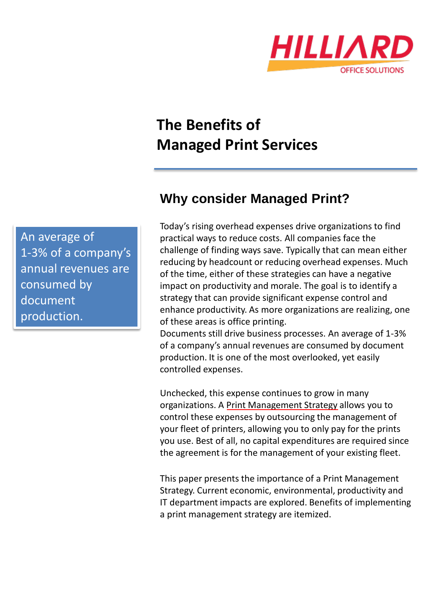

# **The Benefits of Managed Print Services**

**Why consider Managed Print?**

Today's rising overhead expenses drive organizations to find practical ways to reduce costs. All companies face the challenge of finding ways save. Typically that can mean either reducing by headcount or reducing overhead expenses. Much of the time, either of these strategies can have a negative impact on productivity and morale. The goal is to identify a strategy that can provide significant expense control and enhance productivity. As more organizations are realizing, one of these areas is office printing.

Documents still drive business processes. An average of 1-3% of a company's annual revenues are consumed by document production. It is one of the most overlooked, yet easily controlled expenses.

Unchecked, this expense continues to grow in many organizations. A [Print Management Strategy](http://www.hilliardos.com/managed-print-overview) allows you to control these expenses by outsourcing the management of your fleet of printers, allowing you to only pay for the prints you use. Best of all, no capital expenditures are required since the agreement is for the management of your existing fleet.

This paper presents the importance of a Print Management Strategy. Current economic, environmental, productivity and IT department impacts are explored. Benefits of implementing a print management strategy are itemized.

An average of 1-3% of a company's annual revenues are consumed by document production.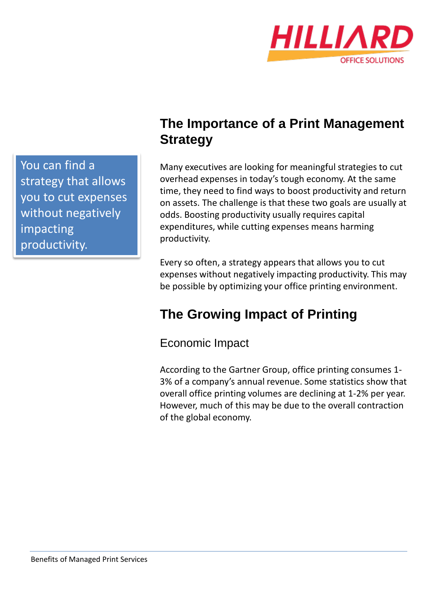

You can find a strategy that allows you to cut expenses without negatively impacting productivity.

# **The Importance of a Print Management Strategy**

Many executives are looking for meaningful strategies to cut overhead expenses in today's tough economy. At the same time, they need to find ways to boost productivity and return on assets. The challenge is that these two goals are usually at odds. Boosting productivity usually requires capital expenditures, while cutting expenses means harming productivity.

Every so often, a strategy appears that allows you to cut expenses without negatively impacting productivity. This may be possible by optimizing your office printing environment.

# **The Growing Impact of Printing**

Economic Impact

According to the Gartner Group, office printing consumes 1- 3% of a company's annual revenue. Some statistics show that overall office printing volumes are declining at 1-2% per year. However, much of this may be due to the overall contraction of the global economy.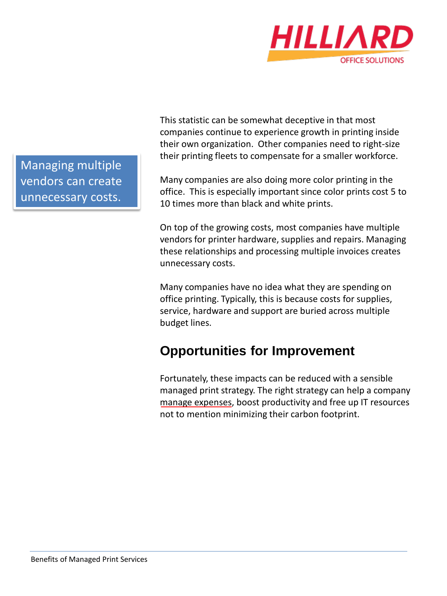

Managing multiple vendors can create unnecessary costs.

This statistic can be somewhat deceptive in that most companies continue to experience growth in printing inside their own organization. Other companies need to right-size their printing fleets to compensate for a smaller workforce.

Many companies are also doing more color printing in the office. This is especially important since color prints cost 5 to 10 times more than black and white prints.

On top of the growing costs, most companies have multiple vendors for printer hardware, supplies and repairs. Managing these relationships and processing multiple invoices creates unnecessary costs.

Many companies have no idea what they are spending on office printing. Typically, this is because costs for supplies, service, hardware and support are buried across multiple budget lines.

# **Opportunities for Improvement**

Fortunately, these impacts can be reduced with a sensible managed print strategy. The right strategy can help a company [manage expenses,](http://blog.hilliardos.com/blog/keeping-costs-undercontrol-with-managed-print-services) boost productivity and free up IT resources not to mention minimizing their carbon footprint.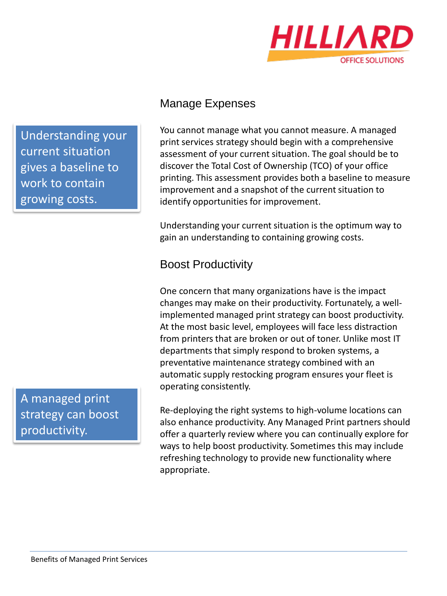

Understanding your current situation gives a baseline to work to contain growing costs.

A managed print strategy can boost productivity.

### Manage Expenses

You cannot manage what you cannot measure. A managed print services strategy should begin with a comprehensive assessment of your current situation. The goal should be to discover the Total Cost of Ownership (TCO) of your office printing. This assessment provides both a baseline to measure improvement and a snapshot of the current situation to identify opportunities for improvement.

Understanding your current situation is the optimum way to gain an understanding to containing growing costs.

# Boost Productivity

One concern that many organizations have is the impact changes may make on their productivity. Fortunately, a wellimplemented managed print strategy can boost productivity. At the most basic level, employees will face less distraction from printers that are broken or out of toner. Unlike most IT departments that simply respond to broken systems, a preventative maintenance strategy combined with an automatic supply restocking program ensures your fleet is operating consistently.

Re-deploying the right systems to high-volume locations can also enhance productivity. Any Managed Print partners should offer a quarterly review where you can continually explore for ways to help boost productivity. Sometimes this may include refreshing technology to provide new functionality where appropriate.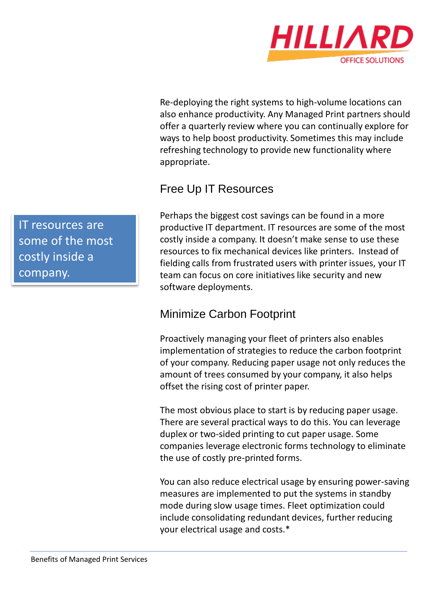

Re-deploying the right systems to high-volume locations can also enhance productivity. Any Managed Print partners should offer a quarterly review where you can continually explore for ways to help boost productivity. Sometimes this may include refreshing technology to provide new functionality where appropriate.

## Free Up IT Resources

Perhaps the biggest cost savings can be found in a more productive IT department. IT resources are some of the most costly inside a company. It doesn't make sense to use these resources to fix mechanical devices like printers. Instead of fielding calls from frustrated users with printer issues, your IT team can focus on core initiatives like security and new software deployments.

### Minimize Carbon Footprint

Proactively managing your fleet of printers also enables implementation of strategies to reduce the carbon footprint of your company. Reducing paper usage not only reduces the amount of trees consumed by your company, it also helps offset the rising cost of printer paper.

The most obvious place to start is by reducing paper usage. There are several practical ways to do this. You can leverage duplex or two-sided printing to cut paper usage. Some companies leverage electronic forms technology to eliminate the use of costly pre-printed forms.

You can also reduce electrical usage by ensuring power-saving measures are implemented to put the systems in standby mode during slow usage times. Fleet optimization could include consolidating redundant devices, further reducing your electrical usage and costs.\*

IT resources are some of the most costly inside a company.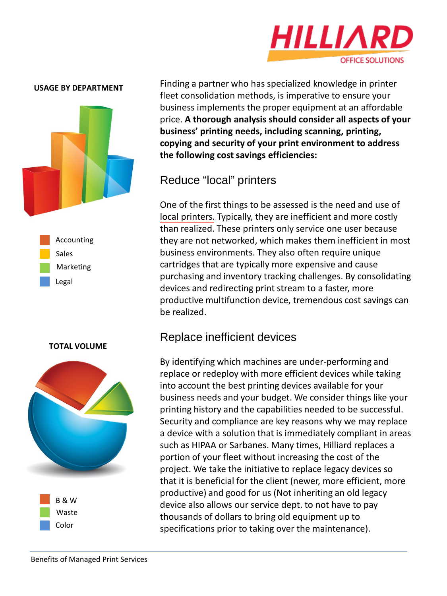

#### **USAGE BY DEPARTMENT**



Accounting Sales Marketing Legal

#### **TOTAL VOLUME**



Finding a partner who has specialized knowledge in printer fleet consolidation methods, is imperative to ensure your business implements the proper equipment at an affordable price. **A thorough analysis should consider all aspects of your business' printing needs, including scanning, printing, copying and security of your print environment to address the following cost savings efficiencies:**

### Reduce "local" printers

One of the first things to be assessed is the need and use of [local printers.](http://blog.hilliardos.com/blog/local-vs-network-printers) Typically, they are inefficient and more costly than realized. These printers only service one user because they are not networked, which makes them inefficient in most business environments. They also often require unique cartridges that are typically more expensive and cause purchasing and inventory tracking challenges. By consolidating devices and redirecting print stream to a faster, more productive multifunction device, tremendous cost savings can be realized.

#### Replace inefficient devices

By identifying which machines are under-performing and replace or redeploy with more efficient devices while taking into account the best printing devices available for your business needs and your budget. We consider things like your printing history and the capabilities needed to be successful. Security and compliance are key reasons why we may replace a device with a solution that is immediately compliant in areas such as HIPAA or Sarbanes. Many times, Hilliard replaces a portion of your fleet without increasing the cost of the project. We take the initiative to replace legacy devices so that it is beneficial for the client (newer, more efficient, more productive) and good for us (Not inheriting an old legacy device also allows our service dept. to not have to pay thousands of dollars to bring old equipment up to specifications prior to taking over the maintenance).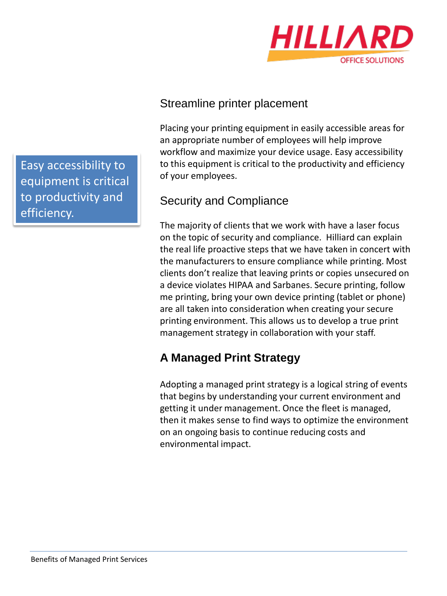

Streamline printer placement

Placing your printing equipment in easily accessible areas for an appropriate number of employees will help improve workflow and maximize your device usage. Easy accessibility to this equipment is critical to the productivity and efficiency of your employees.

## Security and Compliance

The majority of clients that we work with have a laser focus on the topic of security and compliance. Hilliard can explain the real life proactive steps that we have taken in concert with the manufacturers to ensure compliance while printing. Most clients don't realize that leaving prints or copies unsecured on a device violates HIPAA and Sarbanes. Secure printing, follow me printing, bring your own device printing (tablet or phone) are all taken into consideration when creating your secure printing environment. This allows us to develop a true print management strategy in collaboration with your staff.

# **A Managed Print Strategy**

Adopting a managed print strategy is a logical string of events that begins by understanding your current environment and getting it under management. Once the fleet is managed, then it makes sense to find ways to optimize the environment on an ongoing basis to continue reducing costs and environmental impact.

Easy accessibility to equipment is critical to productivity and efficiency.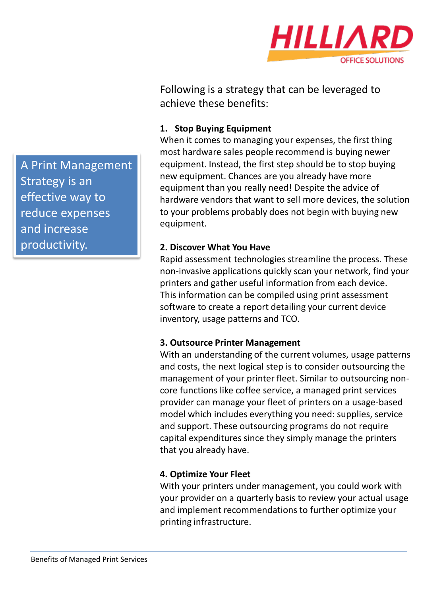

Following is a strategy that can be leveraged to achieve these benefits:

#### **1. Stop Buying Equipment**

When it comes to managing your expenses, the first thing most hardware sales people recommend is buying newer equipment. Instead, the first step should be to stop buying new equipment. Chances are you already have more equipment than you really need! Despite the advice of hardware vendors that want to sell more devices, the solution to your problems probably does not begin with buying new equipment.

#### **2. Discover What You Have**

Rapid assessment technologies streamline the process. These non-invasive applications quickly scan your network, find your printers and gather useful information from each device. This information can be compiled using print assessment software to create a report detailing your current device inventory, usage patterns and TCO.

#### **3. Outsource Printer Management**

With an understanding of the current volumes, usage patterns and costs, the next logical step is to consider outsourcing the management of your printer fleet. Similar to outsourcing noncore functions like coffee service, a managed print services provider can manage your fleet of printers on a usage-based model which includes everything you need: supplies, service and support. These outsourcing programs do not require capital expenditures since they simply manage the printers that you already have.

#### **4. Optimize Your Fleet**

With your printers under management, you could work with your provider on a quarterly basis to review your actual usage and implement recommendations to further optimize your printing infrastructure.

A Print Management Strategy is an effective way to reduce expenses and increase productivity.